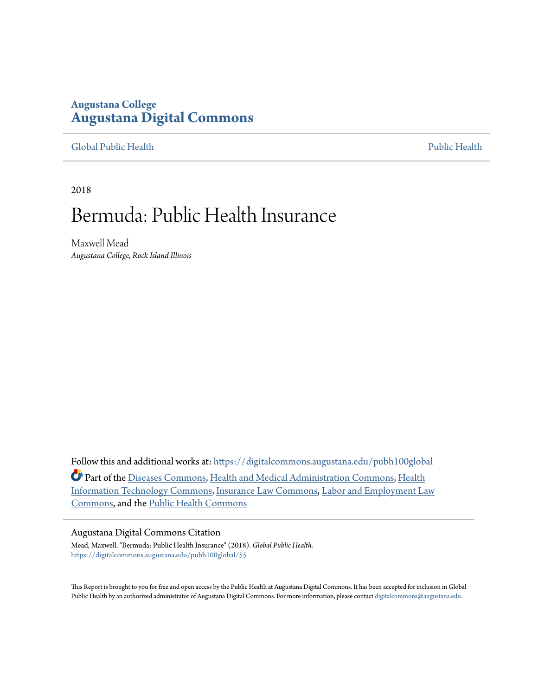## **Augustana College [Augustana Digital Commons](https://digitalcommons.augustana.edu?utm_source=digitalcommons.augustana.edu%2Fpubh100global%2F55&utm_medium=PDF&utm_campaign=PDFCoverPages)**

[Global Public Health](https://digitalcommons.augustana.edu/pubh100global?utm_source=digitalcommons.augustana.edu%2Fpubh100global%2F55&utm_medium=PDF&utm_campaign=PDFCoverPages) [Public Health](https://digitalcommons.augustana.edu/publichealth?utm_source=digitalcommons.augustana.edu%2Fpubh100global%2F55&utm_medium=PDF&utm_campaign=PDFCoverPages)

2018

# Bermuda: Public Health Insurance

Maxwell Mead *Augustana College, Rock Island Illinois*

Follow this and additional works at: [https://digitalcommons.augustana.edu/pubh100global](https://digitalcommons.augustana.edu/pubh100global?utm_source=digitalcommons.augustana.edu%2Fpubh100global%2F55&utm_medium=PDF&utm_campaign=PDFCoverPages) Part of the [Diseases Commons](http://network.bepress.com/hgg/discipline/813?utm_source=digitalcommons.augustana.edu%2Fpubh100global%2F55&utm_medium=PDF&utm_campaign=PDFCoverPages), [Health and Medical Administration Commons](http://network.bepress.com/hgg/discipline/663?utm_source=digitalcommons.augustana.edu%2Fpubh100global%2F55&utm_medium=PDF&utm_campaign=PDFCoverPages), [Health](http://network.bepress.com/hgg/discipline/1239?utm_source=digitalcommons.augustana.edu%2Fpubh100global%2F55&utm_medium=PDF&utm_campaign=PDFCoverPages) [Information Technology Commons](http://network.bepress.com/hgg/discipline/1239?utm_source=digitalcommons.augustana.edu%2Fpubh100global%2F55&utm_medium=PDF&utm_campaign=PDFCoverPages), [Insurance Law Commons](http://network.bepress.com/hgg/discipline/607?utm_source=digitalcommons.augustana.edu%2Fpubh100global%2F55&utm_medium=PDF&utm_campaign=PDFCoverPages), [Labor and Employment Law](http://network.bepress.com/hgg/discipline/909?utm_source=digitalcommons.augustana.edu%2Fpubh100global%2F55&utm_medium=PDF&utm_campaign=PDFCoverPages) [Commons,](http://network.bepress.com/hgg/discipline/909?utm_source=digitalcommons.augustana.edu%2Fpubh100global%2F55&utm_medium=PDF&utm_campaign=PDFCoverPages) and the [Public Health Commons](http://network.bepress.com/hgg/discipline/738?utm_source=digitalcommons.augustana.edu%2Fpubh100global%2F55&utm_medium=PDF&utm_campaign=PDFCoverPages)

#### Augustana Digital Commons Citation

Mead, Maxwell. "Bermuda: Public Health Insurance" (2018). *Global Public Health.* [https://digitalcommons.augustana.edu/pubh100global/55](https://digitalcommons.augustana.edu/pubh100global/55?utm_source=digitalcommons.augustana.edu%2Fpubh100global%2F55&utm_medium=PDF&utm_campaign=PDFCoverPages)

This Report is brought to you for free and open access by the Public Health at Augustana Digital Commons. It has been accepted for inclusion in Global Public Health by an authorized administrator of Augustana Digital Commons. For more information, please contact [digitalcommons@augustana.edu.](mailto:digitalcommons@augustana.edu)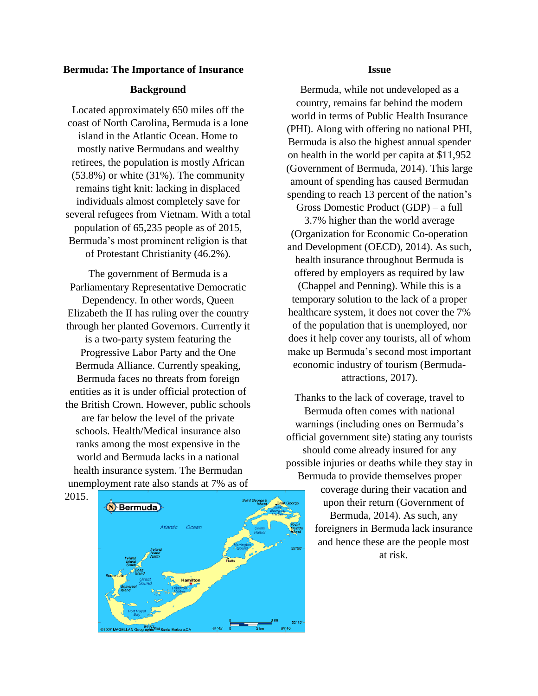#### **Bermuda: The Importance of Insurance**

#### **Background**

Located approximately 650 miles off the coast of North Carolina, Bermuda is a lone island in the Atlantic Ocean. Home to mostly native Bermudans and wealthy retirees, the population is mostly African (53.8%) or white (31%). The community remains tight knit: lacking in displaced individuals almost completely save for several refugees from Vietnam. With a total population of 65,235 people as of 2015, Bermuda's most prominent religion is that of Protestant Christianity (46.2%).

The government of Bermuda is a Parliamentary Representative Democratic Dependency. In other words, Queen Elizabeth the II has ruling over the country through her planted Governors. Currently it is a two-party system featuring the Progressive Labor Party and the One Bermuda Alliance. Currently speaking, Bermuda faces no threats from foreign entities as it is under official protection of the British Crown. However, public schools are far below the level of the private schools. Health/Medical insurance also ranks among the most expensive in the world and Bermuda lacks in a national health insurance system. The Bermudan unemployment rate also stands at 7% as of

2015.



#### **Issue**

Bermuda, while not undeveloped as a country, remains far behind the modern world in terms of Public Health Insurance (PHI). Along with offering no national PHI, Bermuda is also the highest annual spender on health in the world per capita at \$11,952 (Government of Bermuda, 2014). This large amount of spending has caused Bermudan spending to reach 13 percent of the nation's

Gross Domestic Product (GDP) – a full 3.7% higher than the world average (Organization for Economic Co-operation and Development (OECD), 2014). As such, health insurance throughout Bermuda is offered by employers as required by law (Chappel and Penning). While this is a temporary solution to the lack of a proper healthcare system, it does not cover the 7% of the population that is unemployed, nor does it help cover any tourists, all of whom make up Bermuda's second most important economic industry of tourism (Bermudaattractions, 2017).

Thanks to the lack of coverage, travel to Bermuda often comes with national warnings (including ones on Bermuda's official government site) stating any tourists should come already insured for any possible injuries or deaths while they stay in Bermuda to provide themselves proper

> coverage during their vacation and upon their return (Government of Bermuda, 2014). As such, any foreigners in Bermuda lack insurance and hence these are the people most at risk.